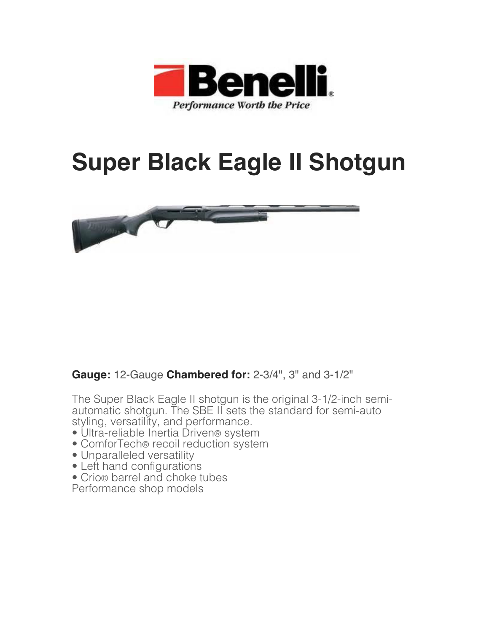

## **Super Black Eagle II Shotgun**



## **Gauge:** 12-Gauge **Chambered for:** 2-3/4", 3" and 3-1/2"

The Super Black Eagle II shotgun is the original 3-1/2-inch semiautomatic shotgun. The SBE II sets the standard for semi-auto styling, versatility, and performance.

- Ultra-reliable Inertia Driven® system
- ComforTech® recoil reduction system
- Unparalleled versatility
- Left hand configurations
- Crio® barrel and choke tubes

Performance shop models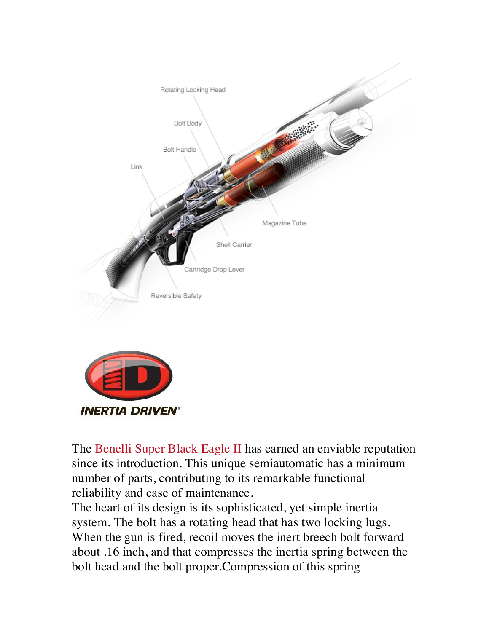



The Benelli Super Black Eagle II has earned an enviable reputation since its introduction. This unique semiautomatic has a minimum number of parts, contributing to its remarkable functional reliability and ease of maintenance.

The heart of its design is its sophisticated, yet simple inertia system. The bolt has a rotating head that has two locking lugs. When the gun is fired, recoil moves the inert breech bolt forward about .16 inch, and that compresses the inertia spring between the bolt head and the bolt proper.Compression of this spring